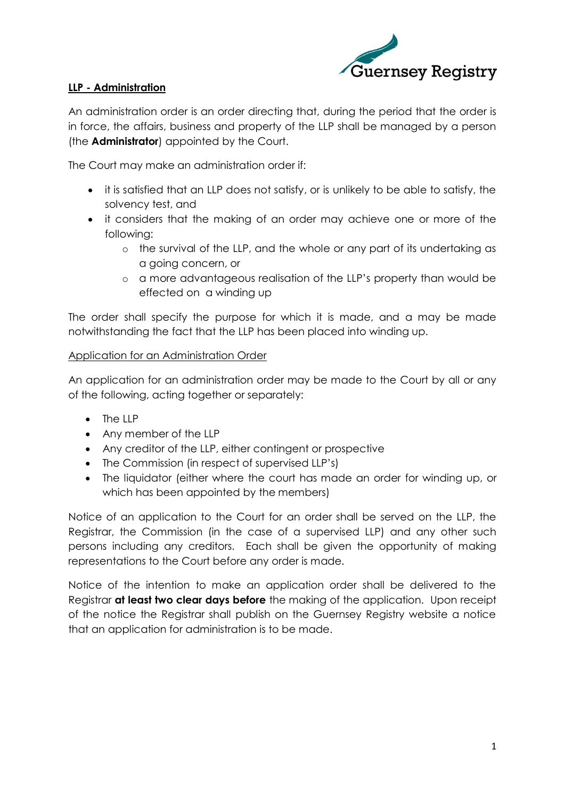

# **LLP - Administration**

An administration order is an order directing that, during the period that the order is in force, the affairs, business and property of the LLP shall be managed by a person (the **Administrator**) appointed by the Court.

The Court may make an administration order if:

- it is satisfied that an LLP does not satisfy, or is unlikely to be able to satisfy, the solvency test, and
- it considers that the making of an order may achieve one or more of the following:
	- o the survival of the LLP, and the whole or any part of its undertaking as a going concern, or
	- o a more advantageous realisation of the LLP's property than would be effected on a winding up

The order shall specify the purpose for which it is made, and a may be made notwithstanding the fact that the LLP has been placed into winding up.

## Application for an Administration Order

An application for an administration order may be made to the Court by all or any of the following, acting together or separately:

- $\bullet$  The IIP
- Any member of the LLP
- Any creditor of the LLP, either contingent or prospective
- The Commission (in respect of supervised LLP's)
- The liquidator (either where the court has made an order for winding up, or which has been appointed by the members)

Notice of an application to the Court for an order shall be served on the LLP, the Registrar, the Commission (in the case of a supervised LLP) and any other such persons including any creditors. Each shall be given the opportunity of making representations to the Court before any order is made.

Notice of the intention to make an application order shall be delivered to the Registrar **at least two clear days before** the making of the application. Upon receipt of the notice the Registrar shall publish on the Guernsey Registry website a notice that an application for administration is to be made.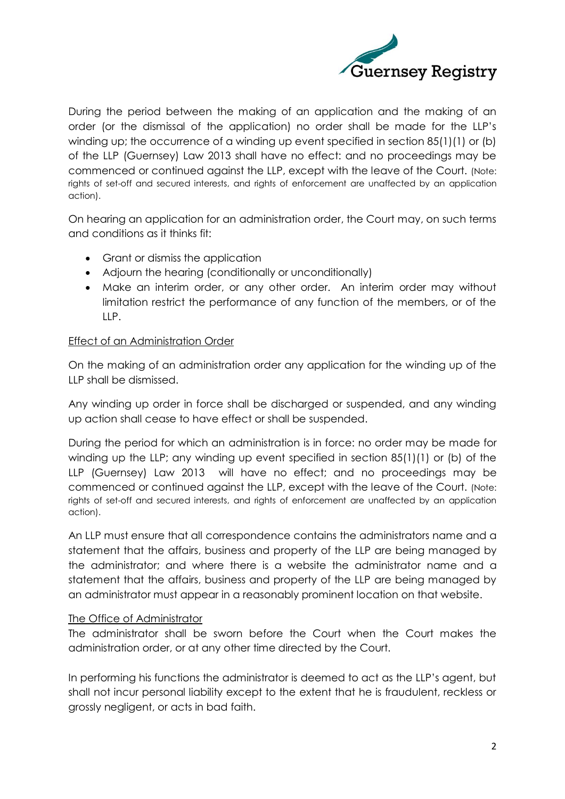

During the period between the making of an application and the making of an order (or the dismissal of the application) no order shall be made for the LLP's winding up; the occurrence of a winding up event specified in section 85(1)(1) or (b) of the LLP (Guernsey) Law 2013 shall have no effect: and no proceedings may be commenced or continued against the LLP, except with the leave of the Court. (Note: rights of set-off and secured interests, and rights of enforcement are unaffected by an application action).

On hearing an application for an administration order, the Court may, on such terms and conditions as it thinks fit:

- Grant or dismiss the application
- Adjourn the hearing (conditionally or unconditionally)
- Make an interim order, or any other order. An interim order may without limitation restrict the performance of any function of the members, or of the LLP.

## Effect of an Administration Order

On the making of an administration order any application for the winding up of the LLP shall be dismissed.

Any winding up order in force shall be discharged or suspended, and any winding up action shall cease to have effect or shall be suspended.

During the period for which an administration is in force: no order may be made for winding up the LLP; any winding up event specified in section 85(1)(1) or (b) of the LLP (Guernsey) Law 2013 will have no effect; and no proceedings may be commenced or continued against the LLP, except with the leave of the Court. (Note: rights of set-off and secured interests, and rights of enforcement are unaffected by an application action).

An LLP must ensure that all correspondence contains the administrators name and a statement that the affairs, business and property of the LLP are being managed by the administrator; and where there is a website the administrator name and a statement that the affairs, business and property of the LLP are being managed by an administrator must appear in a reasonably prominent location on that website.

## The Office of Administrator

The administrator shall be sworn before the Court when the Court makes the administration order, or at any other time directed by the Court.

In performing his functions the administrator is deemed to act as the LLP's agent, but shall not incur personal liability except to the extent that he is fraudulent, reckless or grossly negligent, or acts in bad faith.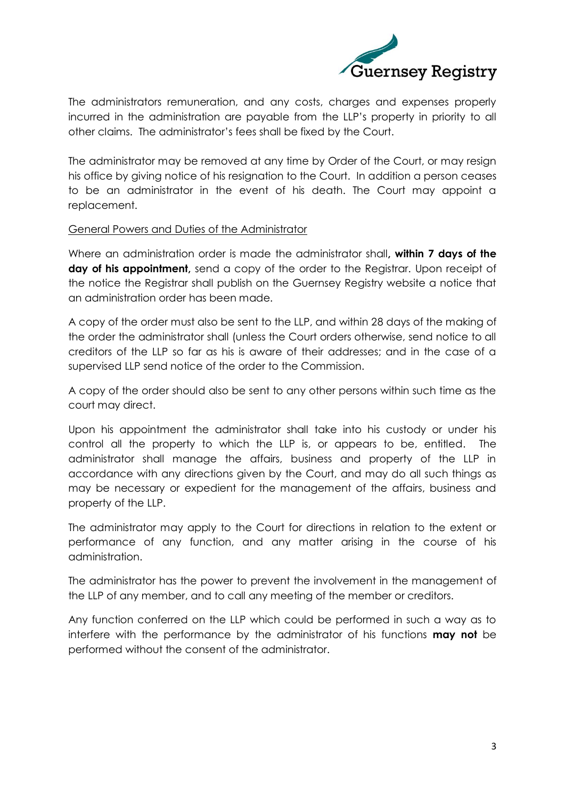

The administrators remuneration, and any costs, charges and expenses properly incurred in the administration are payable from the LLP's property in priority to all other claims. The administrator's fees shall be fixed by the Court.

The administrator may be removed at any time by Order of the Court, or may resign his office by giving notice of his resignation to the Court. In addition a person ceases to be an administrator in the event of his death. The Court may appoint a replacement.

### General Powers and Duties of the Administrator

Where an administration order is made the administrator shall**, within 7 days of the day of his appointment,** send a copy of the order to the Registrar. Upon receipt of the notice the Registrar shall publish on the Guernsey Registry website a notice that an administration order has been made.

A copy of the order must also be sent to the LLP, and within 28 days of the making of the order the administrator shall (unless the Court orders otherwise, send notice to all creditors of the LLP so far as his is aware of their addresses; and in the case of a supervised LLP send notice of the order to the Commission.

A copy of the order should also be sent to any other persons within such time as the court may direct.

Upon his appointment the administrator shall take into his custody or under his control all the property to which the LLP is, or appears to be, entitled. The administrator shall manage the affairs, business and property of the LLP in accordance with any directions given by the Court, and may do all such things as may be necessary or expedient for the management of the affairs, business and property of the LLP.

The administrator may apply to the Court for directions in relation to the extent or performance of any function, and any matter arising in the course of his administration.

The administrator has the power to prevent the involvement in the management of the LLP of any member, and to call any meeting of the member or creditors.

Any function conferred on the LLP which could be performed in such a way as to interfere with the performance by the administrator of his functions **may not** be performed without the consent of the administrator.